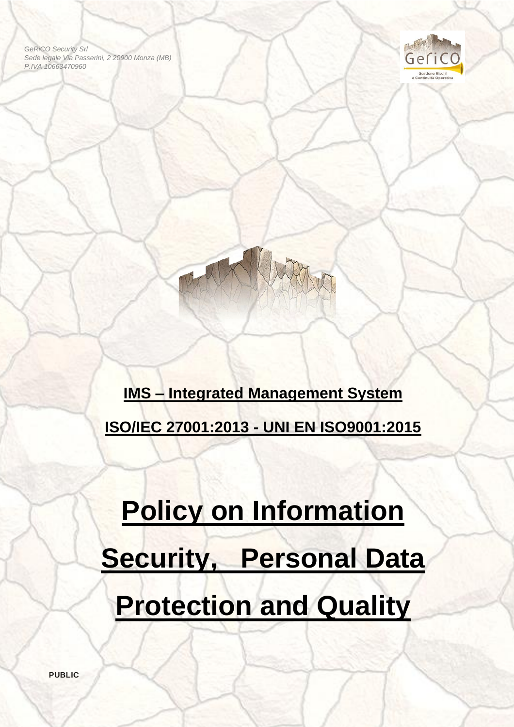*GeRiCO Security Srl Sede legale Via Passerini, 2 20900 Monza (MB) P.IVA 10663470960*



ĺ

**IMS – Integrated Management System ISO/IEC 27001:2013 - UNI EN ISO9001:2015**

# **Policy on Information Security, Personal Data Protection and Quality**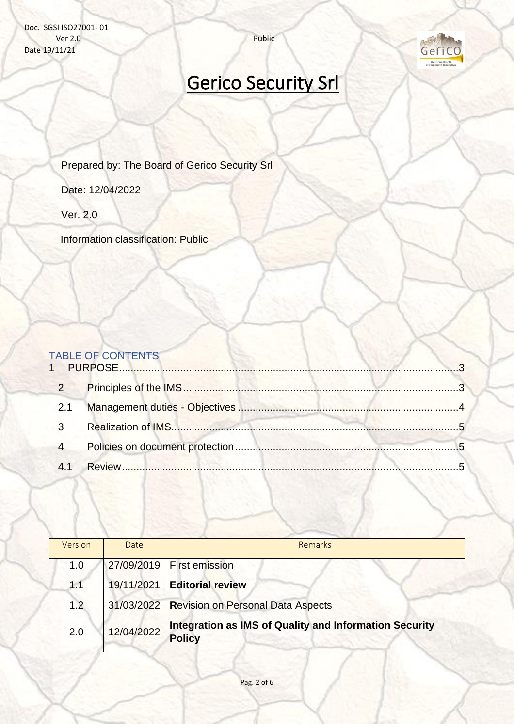Doc. SGSI ISO27001- 01 Ver 2.0 Public Date 19/11/21



## Gerico Security Srl

Prepared by: The Board of Gerico Security Srl

Date: 12/04/2022

Ver. 2.0

Information classification: Public

### TABLE OF CONTENTS

| 1              |         |  |
|----------------|---------|--|
| $\overline{2}$ |         |  |
| 2.1            |         |  |
|                |         |  |
|                |         |  |
|                | Review. |  |

| Version | Date       | <b>Remarks</b>                                                                 |
|---------|------------|--------------------------------------------------------------------------------|
| 1.0     |            | 27/09/2019   First emission                                                    |
| 1.1     | 19/11/2021 | <b>Editorial review</b>                                                        |
| 1.2     |            | 31/03/2022   Revision on Personal Data Aspects                                 |
| 2.0     | 12/04/2022 | <b>Integration as IMS of Quality and Information Security</b><br><b>Policy</b> |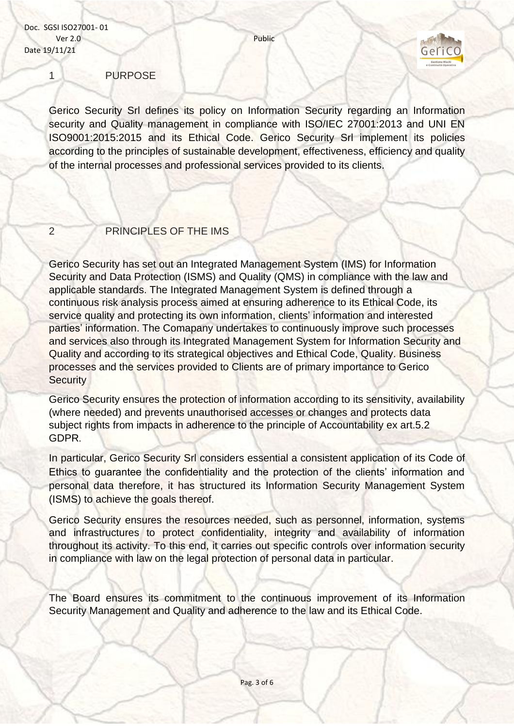

<span id="page-2-0"></span>1 PURPOSE

Gerico Security Srl defines its policy on Information Security regarding an Information security and Quality management in compliance with ISO/IEC 27001:2013 and UNI EN ISO9001:2015:2015 and its Ethical Code. Gerico Security Srl implement its policies according to the principles of sustainable development, effectiveness, efficiency and quality of the internal processes and professional services provided to its clients.

#### <span id="page-2-1"></span>2 PRINCIPLES OF THE IMS

Gerico Security has set out an Integrated Management System (IMS) for Information Security and Data Protection (ISMS) and Quality (QMS) in compliance with the law and applicable standards. The Integrated Management System is defined through a continuous risk analysis process aimed at ensuring adherence to its Ethical Code, its service quality and protecting its own information, clients' information and interested parties' information. The Comapany undertakes to continuously improve such processes and services also through its Integrated Management System for Information Security and Quality and according to its strategical objectives and Ethical Code, Quality. Business processes and the services provided to Clients are of primary importance to Gerico **Security** 

Gerico Security ensures the protection of information according to its sensitivity, availability (where needed) and prevents unauthorised accesses or changes and protects data subject rights from impacts in adherence to the principle of Accountability ex art.5.2 GDPR.

In particular, Gerico Security Srl considers essential a consistent application of its Code of Ethics to guarantee the confidentiality and the protection of the clients' information and personal data therefore, it has structured its Information Security Management System (ISMS) to achieve the goals thereof.

Gerico Security ensures the resources needed, such as personnel, information, systems and infrastructures to protect confidentiality, integrity and availability of information throughout its activity. To this end, it carries out specific controls over information security in compliance with law on the legal protection of personal data in particular.

The Board ensures its commitment to the continuous improvement of its Information Security Management and Quality and adherence to the law and its Ethical Code.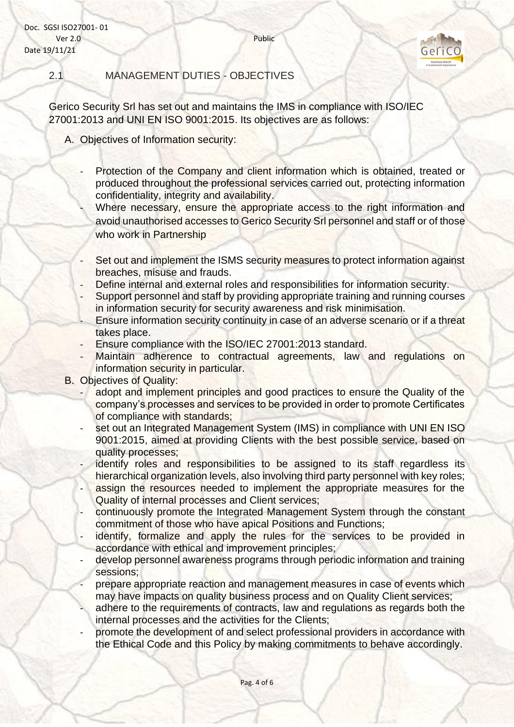Doc. SGSI ISO27001- 01 Ver 2.0 Public Date 19/11/21



<span id="page-3-0"></span>

#### 2.1 MANAGEMENT DUTIES - OBJECTIVES

Gerico Security Srl has set out and maintains the IMS in compliance with ISO/IEC 27001:2013 and UNI EN ISO 9001:2015. Its objectives are as follows:

- A. Objectives of Information security:
	- Protection of the Company and client information which is obtained, treated or produced throughout the professional services carried out, protecting information confidentiality, integrity and availability.
		- Where necessary, ensure the appropriate access to the right information and avoid unauthorised accesses to Gerico Security Srl personnel and staff or of those who work in Partnership
	- Set out and implement the ISMS security measures to protect information against breaches, misuse and frauds.
	- Define internal and external roles and responsibilities for information security.
	- Support personnel and staff by providing appropriate training and running courses in information security for security awareness and risk minimisation.
	- Ensure information security continuity in case of an adverse scenario or if a threat takes place.
	- Ensure compliance with the ISO/IEC 27001:2013 standard.
	- Maintain adherence to contractual agreements, law and regulations on information security in particular.
- B. Objectives of Quality:
	- adopt and implement principles and good practices to ensure the Quality of the company's processes and services to be provided in order to promote Certificates of compliance with standards;
	- set out an Integrated Management System (IMS) in compliance with UNI EN ISO 9001:2015, aimed at providing Clients with the best possible service, based on quality processes;
	- identify roles and responsibilities to be assigned to its staff regardless its hierarchical organization levels, also involving third party personnel with key roles;
	- assign the resources needed to implement the appropriate measures for the Quality of internal processes and Client services;
	- continuously promote the Integrated Management System through the constant commitment of those who have apical Positions and Functions;
	- identify, formalize and apply the rules for the services to be provided in accordance with ethical and improvement principles;
	- develop personnel awareness programs through periodic information and training sessions;
	- prepare appropriate reaction and management measures in case of events which may have impacts on quality business process and on Quality Client services;
	- adhere to the requirements of contracts, law and regulations as regards both the internal processes and the activities for the Clients;
	- promote the development of and select professional providers in accordance with the Ethical Code and this Policy by making commitments to behave accordingly.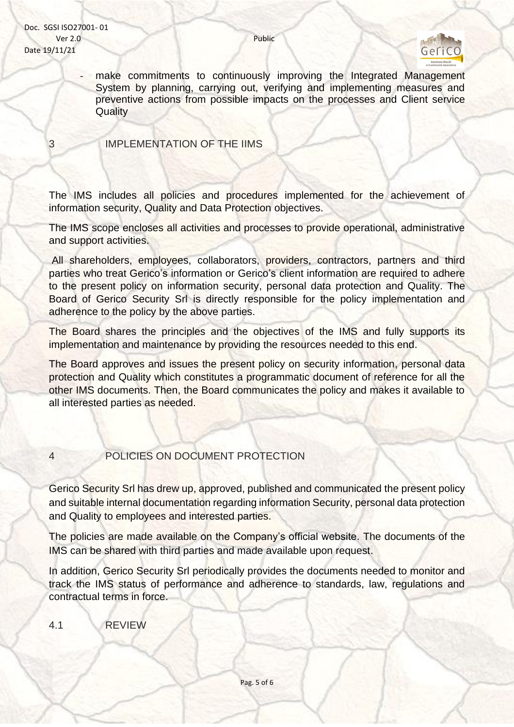

make commitments to continuously improving the Integrated Management System by planning, carrying out, verifying and implementing measures and preventive actions from possible impacts on the processes and Client service **Quality** 

<span id="page-4-0"></span>3 IMPLEMENTATION OF THE IIMS

The IMS includes all policies and procedures implemented for the achievement of information security, Quality and Data Protection objectives.

The IMS scope encloses all activities and processes to provide operational, administrative and support activities.

All shareholders, employees, collaborators, providers, contractors, partners and third parties who treat Gerico's information or Gerico's client information are required to adhere to the present policy on information security, personal data protection and Quality. The Board of Gerico Security Srl is directly responsible for the policy implementation and adherence to the policy by the above parties.

The Board shares the principles and the objectives of the IMS and fully supports its implementation and maintenance by providing the resources needed to this end.

The Board approves and issues the present policy on security information, personal data protection and Quality which constitutes a programmatic document of reference for all the other IMS documents. Then, the Board communicates the policy and makes it available to all interested parties as needed.

#### <span id="page-4-1"></span>4 POLICIES ON DOCUMENT PROTECTION

Gerico Security Srl has drew up, approved, published and communicated the present policy and suitable internal documentation regarding information Security, personal data protection and Quality to employees and interested parties.

The policies are made available on the Company's official website. The documents of the IMS can be shared with third parties and made available upon request.

In addition, Gerico Security Srl periodically provides the documents needed to monitor and track the IMS status of performance and adherence to standards, law, regulations and contractual terms in force.

<span id="page-4-2"></span>4.1 REVIEW